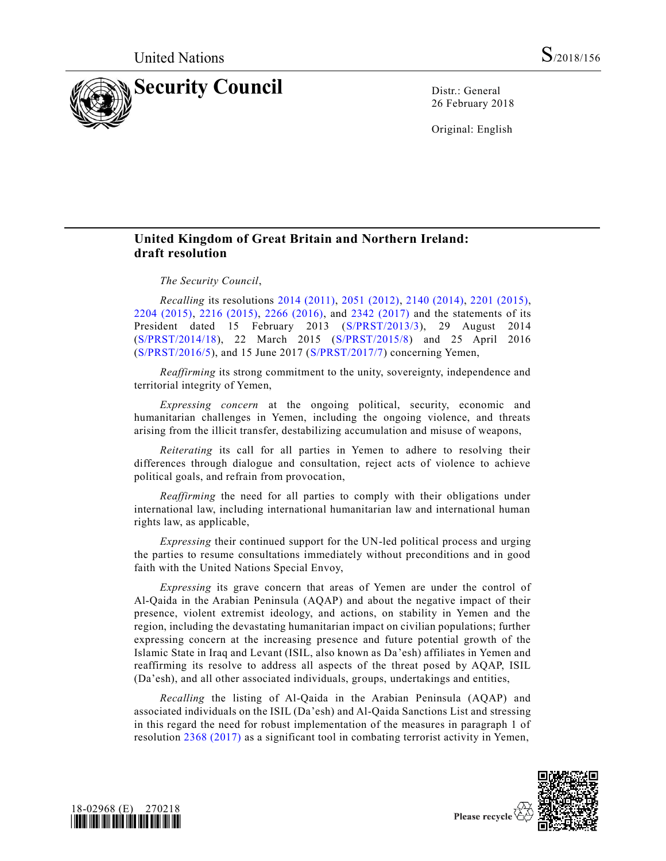

26 February 2018

Original: English

## **United Kingdom of Great Britain and Northern Ireland: draft resolution**

## *The Security Council*,

*Recalling* its resolutions [2014 \(2011\),](https://undocs.org/S/RES/2014(2011)) [2051 \(2012\),](https://undocs.org/S/RES/2051(2012)) [2140 \(2014\),](https://undocs.org/S/RES/2140(2014)) [2201 \(2015\),](https://undocs.org/S/RES/2201(2015)) [2204 \(2015\),](https://undocs.org/S/RES/2204(2015)) [2216 \(2015\),](https://undocs.org/S/RES/2216(2015)) [2266 \(2016\),](https://undocs.org/S/RES/2266(2016)) and [2342 \(2017\)](https://undocs.org/S/RES/2342(2017)) and the statements of its President dated 15 February 2013 [\(S/PRST/2013/3\)](https://undocs.org/S/PRST/2013/3), 29 August 2014 [\(S/PRST/2014/18\)](https://undocs.org/S/PRST/2014/18), 22 March 2015 [\(S/PRST/2015/8\)](https://undocs.org/S/PRST/2015/8) and 25 April 2016 [\(S/PRST/2016/5\)](https://undocs.org/S/PRST/2016/5), and 15 June 2017 [\(S/PRST/2017/7\)](https://undocs.org/S/PRST/2017/7) concerning Yemen,

*Reaffirming* its strong commitment to the unity, sovereignty, independence and territorial integrity of Yemen,

*Expressing concern* at the ongoing political, security, economic and humanitarian challenges in Yemen, including the ongoing violence, and threats arising from the illicit transfer, destabilizing accumulation and misuse of weapons,

*Reiterating* its call for all parties in Yemen to adhere to resolving their differences through dialogue and consultation, reject acts of violence to achieve political goals, and refrain from provocation,

*Reaffirming* the need for all parties to comply with their obligations under international law, including international humanitarian law and international human rights law, as applicable,

*Expressing* their continued support for the UN-led political process and urging the parties to resume consultations immediately without preconditions and in good faith with the United Nations Special Envoy,

*Expressing* its grave concern that areas of Yemen are under the control of Al-Qaida in the Arabian Peninsula (AQAP) and about the negative impact of their presence, violent extremist ideology, and actions, on stability in Yemen and the region, including the devastating humanitarian impact on civilian populations; further expressing concern at the increasing presence and future potential growth of the Islamic State in Iraq and Levant (ISIL, also known as Da'esh) affiliates in Yemen and reaffirming its resolve to address all aspects of the threat posed by AQAP, ISIL (Da'esh), and all other associated individuals, groups, undertakings and entities,

*Recalling* the listing of Al-Qaida in the Arabian Peninsula (AQAP) and associated individuals on the ISIL (Da'esh) and Al-Qaida Sanctions List and stressing in this regard the need for robust implementation of the measures in paragraph 1 of resolution [2368 \(2017\)](https://undocs.org/S/RES/2368(2017)) as a significant tool in combating terrorist activity in Yemen,



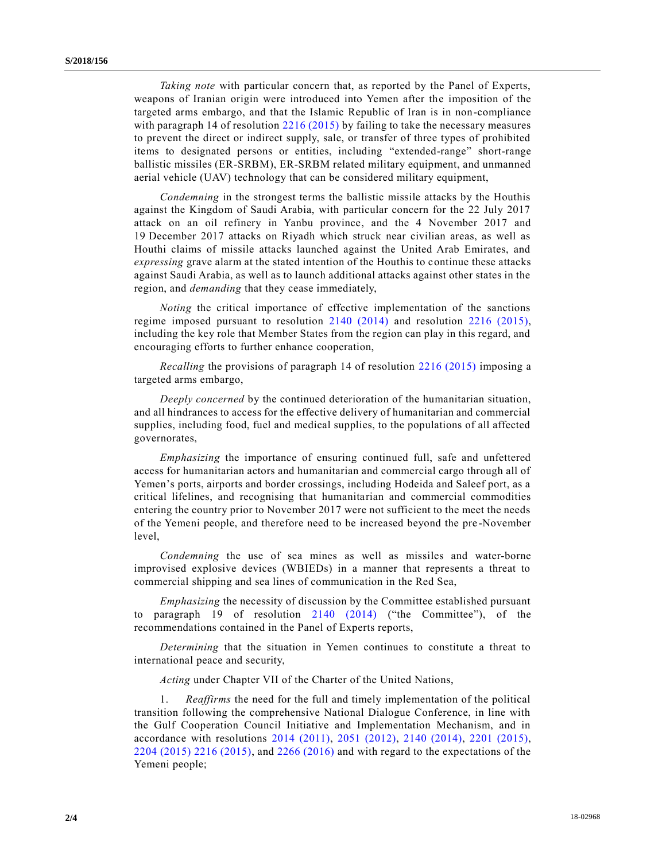*Taking note* with particular concern that, as reported by the Panel of Experts, weapons of Iranian origin were introduced into Yemen after the imposition of the targeted arms embargo, and that the Islamic Republic of Iran is in non-compliance with paragraph 14 of resolution [2216 \(2015\)](https://undocs.org/S/RES/2216(2015)) by failing to take the necessary measures to prevent the direct or indirect supply, sale, or transfer of three types of prohibited items to designated persons or entities, including "extended-range" short-range ballistic missiles (ER-SRBM), ER-SRBM related military equipment, and unmanned aerial vehicle (UAV) technology that can be considered military equipment,

*Condemning* in the strongest terms the ballistic missile attacks by the Houthis against the Kingdom of Saudi Arabia, with particular concern for the 22 July 2017 attack on an oil refinery in Yanbu province, and the 4 November 2017 and 19 December 2017 attacks on Riyadh which struck near civilian areas, as well as Houthi claims of missile attacks launched against the United Arab Emirates, and *expressing* grave alarm at the stated intention of the Houthis to continue these attacks against Saudi Arabia, as well as to launch additional attacks against other states in the region, and *demanding* that they cease immediately,

*Noting* the critical importance of effective implementation of the sanctions regime imposed pursuant to resolution [2140 \(2014\)](https://undocs.org/S/RES/2140(2014)) and resolution [2216 \(2015\),](https://undocs.org/S/RES/2216(2015)) including the key role that Member States from the region can play in this regard, and encouraging efforts to further enhance cooperation,

*Recalling* the provisions of paragraph 14 of resolution [2216 \(2015\)](https://undocs.org/S/RES/2216(2015)) imposing a targeted arms embargo,

*Deeply concerned* by the continued deterioration of the humanitarian situation, and all hindrances to access for the effective delivery of humanitarian and commercial supplies, including food, fuel and medical supplies, to the populations of all affected governorates,

*Emphasizing* the importance of ensuring continued full, safe and unfettered access for humanitarian actors and humanitarian and commercial cargo through all of Yemen's ports, airports and border crossings, including Hodeida and Saleef port, as a critical lifelines, and recognising that humanitarian and commercial commodities entering the country prior to November 2017 were not sufficient to the meet the needs of the Yemeni people, and therefore need to be increased beyond the pre -November level,

*Condemning* the use of sea mines as well as missiles and water-borne improvised explosive devices (WBIEDs) in a manner that represents a threat to commercial shipping and sea lines of communication in the Red Sea,

*Emphasizing* the necessity of discussion by the Committee established pursuant to paragraph 19 of resolution [2140 \(2014\)](https://undocs.org/S/RES/2140(2014)) ("the Committee"), of the recommendations contained in the Panel of Experts reports,

*Determining* that the situation in Yemen continues to constitute a threat to international peace and security,

*Acting* under Chapter VII of the Charter of the United Nations,

1. *Reaffirms* the need for the full and timely implementation of the political transition following the comprehensive National Dialogue Conference, in line with the Gulf Cooperation Council Initiative and Implementation Mechanism, and in accordance with resolutions [2014 \(2011\),](https://undocs.org/S/RES/2014(2011)) [2051 \(2012\),](https://undocs.org/S/RES/2051(2012)) [2140 \(2014\),](https://undocs.org/S/RES/2140(2014)) [2201 \(2015\),](https://undocs.org/S/RES/2201(2015)) [2204 \(2015\)](https://undocs.org/S/RES/2204(2015)) [2216 \(2015\),](https://undocs.org/S/RES/2216(2015)) and [2266 \(2016\)](https://undocs.org/S/RES/2266(2016)) and with regard to the expectations of the Yemeni people;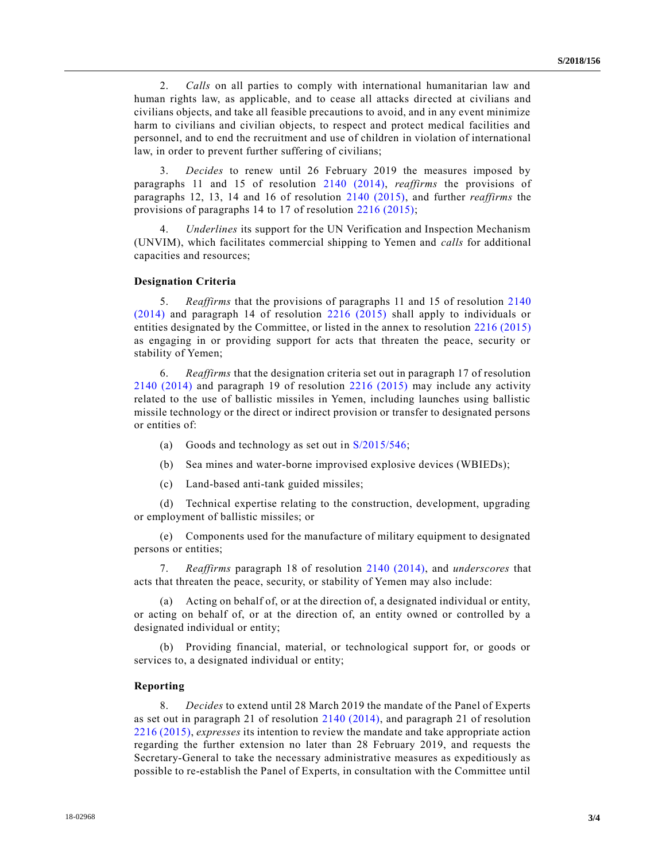2. *Calls* on all parties to comply with international humanitarian law and human rights law, as applicable, and to cease all attacks directed at civilians and civilians objects, and take all feasible precautions to avoid, and in any event minimize harm to civilians and civilian objects, to respect and protect medical facilities and personnel, and to end the recruitment and use of children in violation of international law, in order to prevent further suffering of civilians;

3. *Decides* to renew until 26 February 2019 the measures imposed by paragraphs 11 and 15 of resolution [2140 \(2014\),](https://undocs.org/S/RES/2140(2014)) *reaffirms* the provisions of paragraphs 12, 13, 14 and 16 of resolution [2140 \(2015\),](https://undocs.org/S/RES/2140(2015)) and further *reaffirms* the provisions of paragraphs 14 to 17 of resolution [2216 \(2015\);](https://undocs.org/S/RES/2216(2015))

4. *Underlines* its support for the UN Verification and Inspection Mechanism (UNVIM), which facilitates commercial shipping to Yemen and *calls* for additional capacities and resources;

## **Designation Criteria**

5. *Reaffirms* that the provisions of paragraphs 11 and 15 of resolution [2140](https://undocs.org/S/RES/2140(2014))  [\(2014\)](https://undocs.org/S/RES/2140(2014)) and paragraph 14 of resolution [2216 \(2015\)](https://undocs.org/S/RES/2216(2015)) shall apply to individuals or entities designated by the Committee, or listed in the annex to resolution [2216 \(2015\)](https://undocs.org/S/RES/2216(2015)) as engaging in or providing support for acts that threaten the peace, security or stability of Yemen;

6. *Reaffirms* that the designation criteria set out in paragraph 17 of resolution [2140 \(2014\)](https://undocs.org/S/RES/2140(2014)) and paragraph 19 of resolution [2216 \(2015\)](https://undocs.org/S/RES/2216(2015)) may include any activity related to the use of ballistic missiles in Yemen, including launches using ballistic missile technology or the direct or indirect provision or transfer to designated persons or entities of:

- (a) Goods and technology as set out in [S/2015/546;](https://undocs.org/S/2015/546)
- (b) Sea mines and water-borne improvised explosive devices (WBIEDs);
- (c) Land-based anti-tank guided missiles;

(d) Technical expertise relating to the construction, development, upgrading or employment of ballistic missiles; or

(e) Components used for the manufacture of military equipment to designated persons or entities;

7. *Reaffirms* paragraph 18 of resolution [2140 \(2014\),](https://undocs.org/S/RES/2140(2014)) and *underscores* that acts that threaten the peace, security, or stability of Yemen may also include:

(a) Acting on behalf of, or at the direction of, a designated individual or entity, or acting on behalf of, or at the direction of, an entity owned or controlled by a designated individual or entity;

(b) Providing financial, material, or technological support for, or goods or services to, a designated individual or entity;

## **Reporting**

8. *Decides* to extend until 28 March 2019 the mandate of the Panel of Experts as set out in paragraph 21 of resolution [2140 \(2014\),](https://undocs.org/S/RES/2140(2014)) and paragraph 21 of resolution [2216 \(2015\),](https://undocs.org/S/RES/2216(2015)) *expresses* its intention to review the mandate and take appropriate action regarding the further extension no later than 28 February 2019, and requests the Secretary-General to take the necessary administrative measures as expeditiously as possible to re-establish the Panel of Experts, in consultation with the Committee until